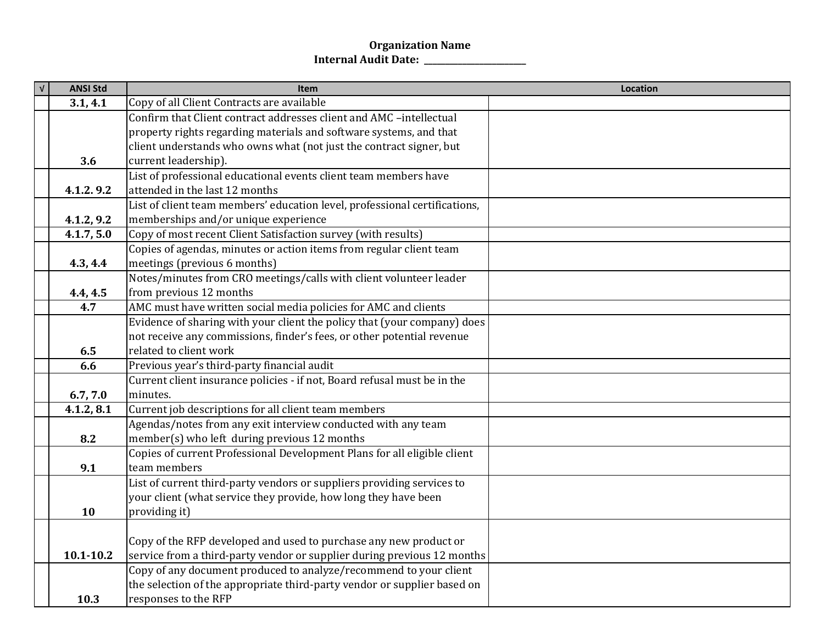## **Organization Name Internal Audit Date: \_\_\_\_\_\_\_\_\_\_\_\_\_\_\_\_\_\_\_\_\_\_\_\_**

| $\sqrt{ }$ | <b>ANSI Std</b> | <b>Item</b>                                                                | <b>Location</b> |
|------------|-----------------|----------------------------------------------------------------------------|-----------------|
|            | 3.1, 4.1        | Copy of all Client Contracts are available                                 |                 |
|            |                 | Confirm that Client contract addresses client and AMC -intellectual        |                 |
|            |                 | property rights regarding materials and software systems, and that         |                 |
|            |                 | client understands who owns what (not just the contract signer, but        |                 |
|            | 3.6             | current leadership).                                                       |                 |
|            |                 | List of professional educational events client team members have           |                 |
|            | 4.1.2.9.2       | attended in the last 12 months                                             |                 |
|            |                 | List of client team members' education level, professional certifications, |                 |
|            | 4.1.2, 9.2      | memberships and/or unique experience                                       |                 |
|            | 4.1.7, 5.0      | Copy of most recent Client Satisfaction survey (with results)              |                 |
|            |                 | Copies of agendas, minutes or action items from regular client team        |                 |
|            | 4.3, 4.4        | meetings (previous 6 months)                                               |                 |
|            |                 | Notes/minutes from CRO meetings/calls with client volunteer leader         |                 |
|            | 4.4, 4.5        | from previous 12 months                                                    |                 |
|            | 4.7             | AMC must have written social media policies for AMC and clients            |                 |
|            |                 | Evidence of sharing with your client the policy that (your company) does   |                 |
|            |                 | not receive any commissions, finder's fees, or other potential revenue     |                 |
|            | 6.5             | related to client work                                                     |                 |
|            | 6.6             | Previous year's third-party financial audit                                |                 |
|            |                 | Current client insurance policies - if not, Board refusal must be in the   |                 |
|            | 6.7, 7.0        | minutes.                                                                   |                 |
|            | 4.1.2, 8.1      | Current job descriptions for all client team members                       |                 |
|            |                 | Agendas/notes from any exit interview conducted with any team              |                 |
|            | 8.2             | member(s) who left during previous 12 months                               |                 |
|            |                 | Copies of current Professional Development Plans for all eligible client   |                 |
|            | 9.1             | team members                                                               |                 |
|            |                 | List of current third-party vendors or suppliers providing services to     |                 |
|            |                 | your client (what service they provide, how long they have been            |                 |
|            | 10              | providing it)                                                              |                 |
|            |                 |                                                                            |                 |
|            |                 | Copy of the RFP developed and used to purchase any new product or          |                 |
|            | $10.1 - 10.2$   | service from a third-party vendor or supplier during previous 12 months    |                 |
|            |                 | Copy of any document produced to analyze/recommend to your client          |                 |
|            |                 | the selection of the appropriate third-party vendor or supplier based on   |                 |
|            | 10.3            | responses to the RFP                                                       |                 |